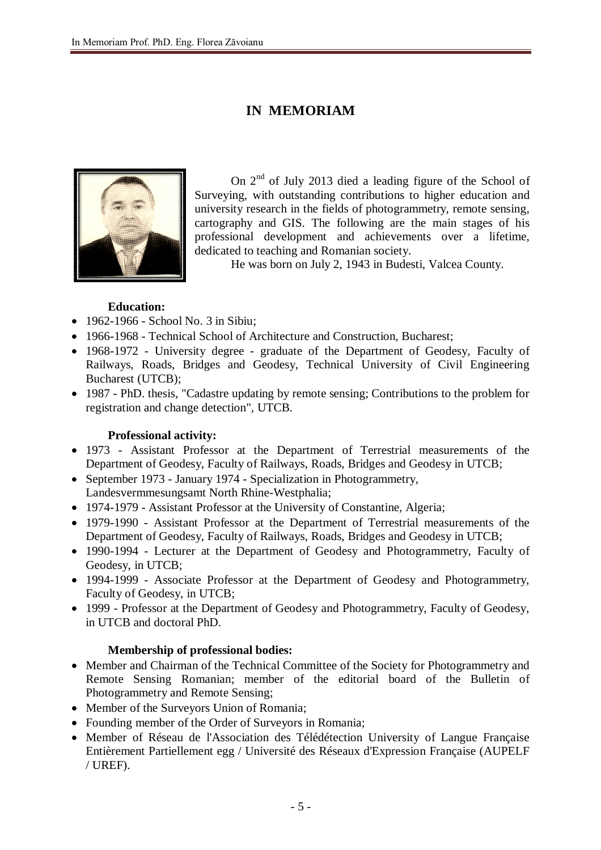## **IN MEMORIAM**



On  $2<sup>nd</sup>$  of July 2013 died a leading figure of the School of Surveying, with outstanding contributions to higher education and university research in the fields of photogrammetry, remote sensing, cartography and GIS. The following are the main stages of his professional development and achievements over a lifetime, dedicated to teaching and Romanian society.

He was born on July 2, 1943 in Budesti, Valcea County.

## **Education:**

- 1962-1966 School No. 3 in Sibiu;
- 1966-1968 Technical School of Architecture and Construction, Bucharest;
- 1968-1972 University degree graduate of the Department of Geodesy, Faculty of Railways, Roads, Bridges and Geodesy, Technical University of Civil Engineering Bucharest (UTCB);
- 1987 PhD. thesis, "Cadastre updating by remote sensing; Contributions to the problem for registration and change detection", UTCB.

## **Professional activity:**

- 1973 Assistant Professor at the Department of Terrestrial measurements of the Department of Geodesy, Faculty of Railways, Roads, Bridges and Geodesy in UTCB;
- September 1973 January 1974 Specialization in Photogrammetry, Landesvermmesungsamt North Rhine-Westphalia;
- 1974-1979 Assistant Professor at the University of Constantine, Algeria;
- 1979-1990 Assistant Professor at the Department of Terrestrial measurements of the Department of Geodesy, Faculty of Railways, Roads, Bridges and Geodesy in UTCB;
- 1990-1994 Lecturer at the Department of Geodesy and Photogrammetry, Faculty of Geodesy, in UTCB;
- 1994-1999 Associate Professor at the Department of Geodesy and Photogrammetry, Faculty of Geodesy, in UTCB;
- 1999 Professor at the Department of Geodesy and Photogrammetry, Faculty of Geodesy, in UTCB and doctoral PhD.

## **Membership of professional bodies:**

- Member and Chairman of the Technical Committee of the Society for Photogrammetry and Remote Sensing Romanian; member of the editorial board of the Bulletin of Photogrammetry and Remote Sensing;
- Member of the Surveyors Union of Romania;
- Founding member of the Order of Surveyors in Romania;
- Member of Réseau de l'Association des Télédétection University of Langue Française Entièrement Partiellement egg / Université des Réseaux d'Expression Française (AUPELF / UREF).